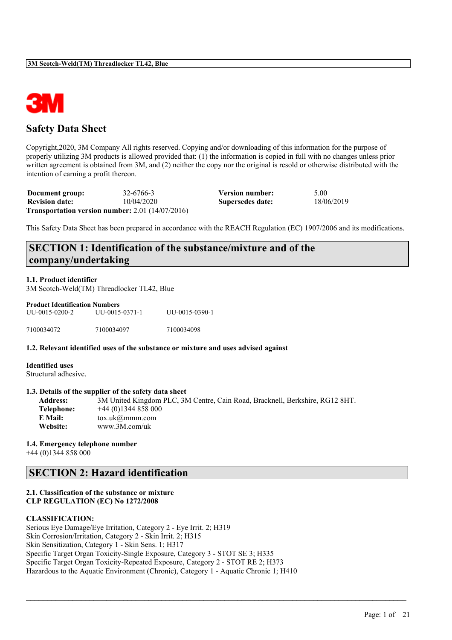

# **Safety Data Sheet**

Copyright,2020, 3M Company All rights reserved. Copying and/or downloading of this information for the purpose of properly utilizing 3M products is allowed provided that: (1) the information is copied in full with no changes unless prior written agreement is obtained from 3M, and (2) neither the copy nor the original is resold or otherwise distributed with the intention of earning a profit thereon.

| Document group:       | 32-6766-3                                                 | Version number:  | 5.00       |
|-----------------------|-----------------------------------------------------------|------------------|------------|
| <b>Revision date:</b> | 10/04/2020                                                | Supersedes date: | 18/06/2019 |
|                       | <b>Transportation version number:</b> 2.01 $(14/07/2016)$ |                  |            |

This Safety Data Sheet has been prepared in accordance with the REACH Regulation (EC) 1907/2006 and its modifications.

# **SECTION 1: Identification of the substance/mixture and of the company/undertaking**

#### **1.1. Product identifier**

3M Scotch-Weld(TM) Threadlocker TL42, Blue

| <b>Product Identification Numbers</b> |                |                |  |  |  |  |
|---------------------------------------|----------------|----------------|--|--|--|--|
| UU-0015-0200-2                        | UU-0015-0371-1 | UU-0015-0390-1 |  |  |  |  |
| 7100034072                            | 7100034097     | 7100034098     |  |  |  |  |

**1.2. Relevant identified uses of the substance or mixture and uses advised against**

**Identified uses** Structural adhesive.

#### **1.3. Details of the supplier of the safety data sheet**

**Address:** 3M United Kingdom PLC, 3M Centre, Cain Road, Bracknell, Berkshire, RG12 8HT. **Telephone:** +44 (0)1344 858 000 **E Mail:** tox.uk@mmm.com **Website:** www.3M.com/uk

 $\mathcal{L}_\mathcal{L} = \mathcal{L}_\mathcal{L} = \mathcal{L}_\mathcal{L} = \mathcal{L}_\mathcal{L} = \mathcal{L}_\mathcal{L} = \mathcal{L}_\mathcal{L} = \mathcal{L}_\mathcal{L} = \mathcal{L}_\mathcal{L} = \mathcal{L}_\mathcal{L} = \mathcal{L}_\mathcal{L} = \mathcal{L}_\mathcal{L} = \mathcal{L}_\mathcal{L} = \mathcal{L}_\mathcal{L} = \mathcal{L}_\mathcal{L} = \mathcal{L}_\mathcal{L} = \mathcal{L}_\mathcal{L} = \mathcal{L}_\mathcal{L}$ 

#### **1.4. Emergency telephone number**

+44 (0)1344 858 000

# **SECTION 2: Hazard identification**

#### **2.1. Classification of the substance or mixture CLP REGULATION (EC) No 1272/2008**

#### **CLASSIFICATION:**

Serious Eye Damage/Eye Irritation, Category 2 - Eye Irrit. 2; H319 Skin Corrosion/Irritation, Category 2 - Skin Irrit. 2; H315 Skin Sensitization, Category 1 - Skin Sens. 1; H317 Specific Target Organ Toxicity-Single Exposure, Category 3 - STOT SE 3; H335 Specific Target Organ Toxicity-Repeated Exposure, Category 2 - STOT RE 2; H373 Hazardous to the Aquatic Environment (Chronic), Category 1 - Aquatic Chronic 1; H410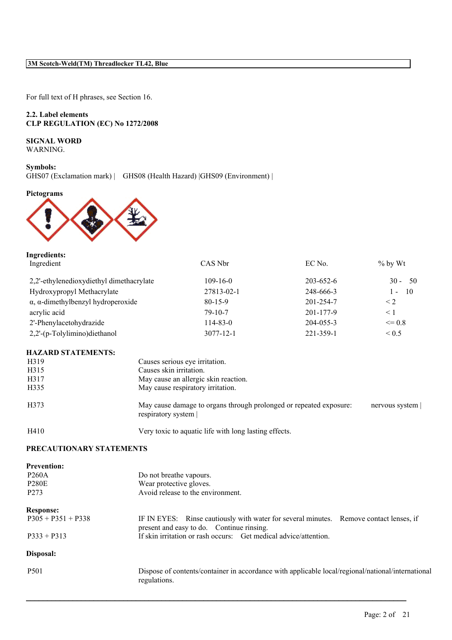For full text of H phrases, see Section 16.

#### **2.2. Label elements CLP REGULATION (EC) No 1272/2008**

# **SIGNAL WORD**

WARNING.

**Symbols:** GHS07 (Exclamation mark) | GHS08 (Health Hazard) |GHS09 (Environment) |

#### **Pictograms**



| CAS Nbr         | EC No.          | $\%$ by Wt               |
|-----------------|-----------------|--------------------------|
| $109 - 16 - 0$  | $203 - 652 - 6$ | $30 - 50$                |
| 27813-02-1      | 248-666-3       | $\overline{10}$<br>$1 -$ |
| $80 - 15 - 9$   | 201-254-7       | $\leq$ 2                 |
| $79 - 10 - 7$   | 201-177-9       | $\leq 1$                 |
| $114 - 83 - 0$  | $204 - 055 - 3$ | $\leq$ 0.8               |
| $3077 - 12 - 1$ | 221-359-1       | ${}_{0.5}$               |
|                 |                 |                          |

#### **HAZARD STATEMENTS:**

| H319 | Causes serious eye irritation.                                                           |                |
|------|------------------------------------------------------------------------------------------|----------------|
| H315 | Causes skin irritation.                                                                  |                |
| H317 | May cause an allergic skin reaction.                                                     |                |
| H335 | May cause respiratory irritation.                                                        |                |
| H373 | May cause damage to organs through prolonged or repeated exposure:<br>respiratory system | nervous system |
| H410 | Very toxic to aquatic life with long lasting effects.                                    |                |

#### **PRECAUTIONARY STATEMENTS**

| <b>Prevention:</b><br><b>P260A</b><br><b>P280E</b><br>P <sub>273</sub> | Do not breathe vapours.<br>Wear protective gloves.<br>Avoid release to the environment.                                             |
|------------------------------------------------------------------------|-------------------------------------------------------------------------------------------------------------------------------------|
|                                                                        |                                                                                                                                     |
| <b>Response:</b><br>$P305 + P351 + P338$                               | IF IN EYES: Rinse cautiously with water for several minutes. Remove contact lenses, if<br>present and easy to do. Continue rinsing. |
| $P333 + P313$                                                          | If skin irritation or rash occurs: Get medical advice/attention.                                                                    |
| Disposal:                                                              |                                                                                                                                     |
| P <sub>501</sub>                                                       | Dispose of contents/container in accordance with applicable local/regional/national/international<br>regulations.                   |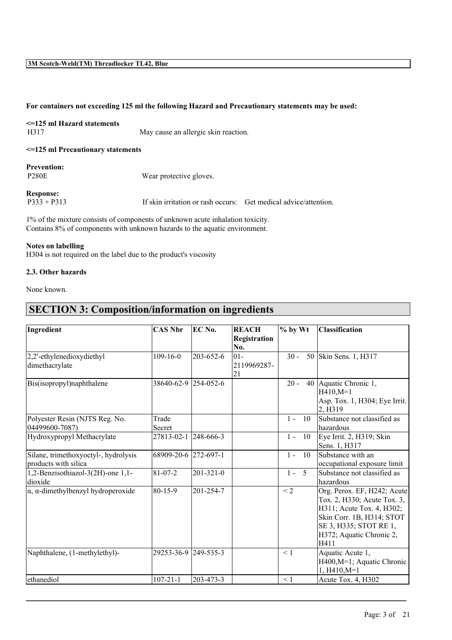#### **For containers not exceeding 125 ml the following Hazard and Precautionary statements may be used:**

| $\leq$ 125 ml Hazard statements |                                      |
|---------------------------------|--------------------------------------|
| H317                            | May cause an allergic skin reaction. |
|                                 |                                      |

**<=125 ml Precautionary statements**

| <b>Prevention:</b> |
|--------------------|
| <b>P280E</b>       |

80E Wear protective gloves.

**Response:**<br>P333 + P313

If skin irritation or rash occurs: Get medical advice/attention.

1% of the mixture consists of components of unknown acute inhalation toxicity. Contains 8% of components with unknown hazards to the aquatic environment.

#### **Notes on labelling**

H304 is not required on the label due to the product's viscosity

#### **2.3. Other hazards**

None known.

# **SECTION 3: Composition/information on ingredients**

| Ingredient                                                   | <b>CAS Nbr</b>       | EC No.          | <b>REACH</b><br>Registration | $%$ by Wt |    | <b>Classification</b>                                                                                                                                                              |
|--------------------------------------------------------------|----------------------|-----------------|------------------------------|-----------|----|------------------------------------------------------------------------------------------------------------------------------------------------------------------------------------|
|                                                              |                      |                 | No.                          |           |    |                                                                                                                                                                                    |
| 2,2'-ethylenedioxydiethyl<br>dimethacrylate                  | $109-16-0$           | 203-652-6       | $ 01 -$<br>2119969287-<br>21 | $30 -$    |    | 50 Skin Sens. 1, H317                                                                                                                                                              |
| Bis(isopropyl)naphthalene                                    | 38640-62-9 254-052-6 |                 |                              | $20 -$    |    | 40 Aquatic Chronic 1,<br>$H410, M=1$<br>Asp. Tox. 1, H304; Eye Irrit.<br>2. H <sub>3</sub> 19                                                                                      |
| Polyester Resin (NJTS Reg. No.<br>04499600-7087)             | Trade<br>Secret      |                 |                              | $1 -$     | 10 | Substance not classified as<br>lhazardous                                                                                                                                          |
| Hydroxypropyl Methacrylate                                   | 27813-02-1 248-666-3 |                 |                              | $1 -$     | 10 | Eye Irrit. 2, H319; Skin<br>Sens. 1, H317                                                                                                                                          |
| Silane, trimethoxyoctyl-, hydrolysis<br>products with silica | 68909-20-6 272-697-1 |                 |                              | $1 -$     | 10 | Substance with an<br>occupational exposure limit                                                                                                                                   |
| 1,2-Benzisothiazol-3(2H)-one 1,1-<br>dioxide                 | $81 - 07 - 2$        | $201 - 321 - 0$ |                              | $1 - 5$   |    | Substance not classified as<br>hazardous                                                                                                                                           |
| $\alpha$ , $\alpha$ -dimethylbenzyl hydroperoxide            | 80-15-9              | 201-254-7       |                              | $\leq$ 2  |    | Org. Perox. EF, H242; Acute<br>Tox. 2, H330; Acute Tox. 3,<br>H311; Acute Tox. 4, H302;<br>Skin Corr. 1B, H314; STOT<br>SE 3, H335; STOT RE 1,<br>H372; Aquatic Chronic 2,<br>H411 |
| Naphthalene, (1-methylethyl)-                                | 29253-36-9 249-535-3 |                 |                              | $\leq 1$  |    | Aquatic Acute 1,<br>H400, M=1; Aquatic Chronic<br>$1, H410, M=1$                                                                                                                   |
| ethanediol                                                   | $107 - 21 - 1$       | 203-473-3       |                              | $\leq$ 1  |    | Acute Tox. 4, H302                                                                                                                                                                 |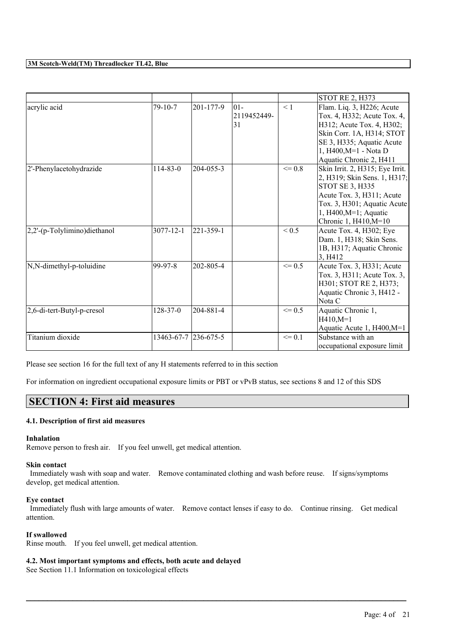|                              |                 |           |                            |            | <b>STOT RE 2, H373</b>                                                                                                                                                                              |
|------------------------------|-----------------|-----------|----------------------------|------------|-----------------------------------------------------------------------------------------------------------------------------------------------------------------------------------------------------|
| acrylic acid                 | $79-10-7$       | 201-177-9 | 101-<br>2119452449-<br> 31 | < 1        | Flam. Liq. 3, H226; Acute<br>Tox. 4, H332; Acute Tox. 4,<br>H312; Acute Tox. 4, H302;<br>Skin Corr. 1A, H314; STOT<br>SE 3, H335; Aquatic Acute<br>1, H400, M=1 - Nota D<br>Aquatic Chronic 2, H411 |
| 2'-Phenylacetohydrazide      | $114 - 83 - 0$  | 204-055-3 |                            | $\leq$ 0.8 | Skin Irrit. 2, H315; Eye Irrit.<br>2, H319; Skin Sens. 1, H317;<br>STOT SE 3, H335<br>Acute Tox. 3, H311; Acute<br>Tox. 3, H301; Aquatic Acute<br>1, $H400, M=1$ ; Aquatic<br>Chronic 1, H410, M=10 |
| 2,2'-(p-Tolylimino)diethanol | $3077 - 12 - 1$ | 221-359-1 |                            | ${}_{0.5}$ | Acute Tox. 4, H302; Eye<br>Dam. 1, H318; Skin Sens.<br>1B, H317; Aquatic Chronic<br>3. H412                                                                                                         |
| N,N-dimethyl-p-toluidine     | 99-97-8         | 202-805-4 |                            | $\leq$ 0.5 | Acute Tox. 3, H331; Acute<br>Tox. 3, H311; Acute Tox. 3,<br>H301; STOT RE 2, H373;<br>Aquatic Chronic 3, H412 -<br>Nota C                                                                           |
| 2,6-di-tert-Butyl-p-cresol   | 128-37-0        | 204-881-4 |                            | $\leq$ 0.5 | Aquatic Chronic 1,<br>$H410, M=1$<br>Aquatic Acute 1, H400, M=1                                                                                                                                     |
| Titanium dioxide             | 13463-67-7      | 236-675-5 |                            | $\leq 0.1$ | Substance with an<br>occupational exposure limit                                                                                                                                                    |

Please see section 16 for the full text of any H statements referred to in this section

For information on ingredient occupational exposure limits or PBT or vPvB status, see sections 8 and 12 of this SDS

### **SECTION 4: First aid measures**

#### **4.1. Description of first aid measures**

#### **Inhalation**

Remove person to fresh air. If you feel unwell, get medical attention.

#### **Skin contact**

Immediately wash with soap and water. Remove contaminated clothing and wash before reuse. If signs/symptoms develop, get medical attention.

#### **Eye contact**

Immediately flush with large amounts of water. Remove contact lenses if easy to do. Continue rinsing. Get medical attention.

 $\mathcal{L}_\mathcal{L} = \mathcal{L}_\mathcal{L} = \mathcal{L}_\mathcal{L} = \mathcal{L}_\mathcal{L} = \mathcal{L}_\mathcal{L} = \mathcal{L}_\mathcal{L} = \mathcal{L}_\mathcal{L} = \mathcal{L}_\mathcal{L} = \mathcal{L}_\mathcal{L} = \mathcal{L}_\mathcal{L} = \mathcal{L}_\mathcal{L} = \mathcal{L}_\mathcal{L} = \mathcal{L}_\mathcal{L} = \mathcal{L}_\mathcal{L} = \mathcal{L}_\mathcal{L} = \mathcal{L}_\mathcal{L} = \mathcal{L}_\mathcal{L}$ 

#### **If swallowed**

Rinse mouth. If you feel unwell, get medical attention.

#### **4.2. Most important symptoms and effects, both acute and delayed**

See Section 11.1 Information on toxicological effects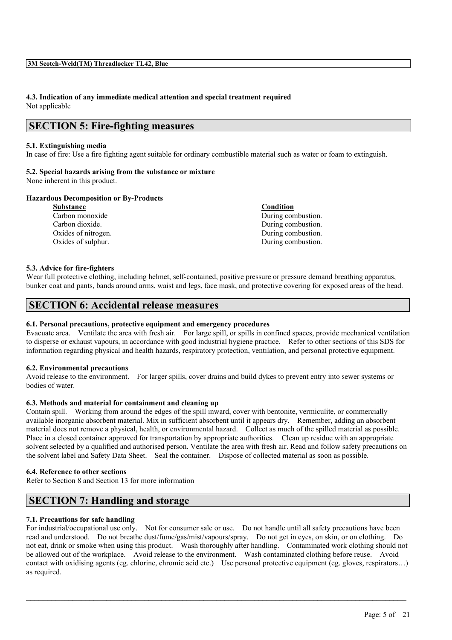# **4.3. Indication of any immediate medical attention and special treatment required**

Not applicable

# **SECTION 5: Fire-fighting measures**

#### **5.1. Extinguishing media**

In case of fire: Use a fire fighting agent suitable for ordinary combustible material such as water or foam to extinguish.

# **5.2. Special hazards arising from the substance or mixture**

None inherent in this product.

#### **Hazardous Decomposition or By-Products**

**Substance Condition** Carbon monoxide During combustion. Carbon dioxide. During combustion. Oxides of nitrogen. During combustion. Oxides of sulphur. During combustion.

#### **5.3. Advice for fire-fighters**

Wear full protective clothing, including helmet, self-contained, positive pressure or pressure demand breathing apparatus, bunker coat and pants, bands around arms, waist and legs, face mask, and protective covering for exposed areas of the head.

# **SECTION 6: Accidental release measures**

#### **6.1. Personal precautions, protective equipment and emergency procedures**

Evacuate area. Ventilate the area with fresh air. For large spill, or spills in confined spaces, provide mechanical ventilation to disperse or exhaust vapours, in accordance with good industrial hygiene practice. Refer to other sections of this SDS for information regarding physical and health hazards, respiratory protection, ventilation, and personal protective equipment.

#### **6.2. Environmental precautions**

Avoid release to the environment. For larger spills, cover drains and build dykes to prevent entry into sewer systems or bodies of water.

#### **6.3. Methods and material for containment and cleaning up**

Contain spill. Working from around the edges of the spill inward, cover with bentonite, vermiculite, or commercially available inorganic absorbent material. Mix in sufficient absorbent until it appears dry. Remember, adding an absorbent material does not remove a physical, health, or environmental hazard. Collect as much of the spilled material as possible. Place in a closed container approved for transportation by appropriate authorities. Clean up residue with an appropriate solvent selected by a qualified and authorised person. Ventilate the area with fresh air. Read and follow safety precautions on the solvent label and Safety Data Sheet. Seal the container. Dispose of collected material as soon as possible.

#### **6.4. Reference to other sections**

Refer to Section 8 and Section 13 for more information

# **SECTION 7: Handling and storage**

#### **7.1. Precautions for safe handling**

For industrial/occupational use only. Not for consumer sale or use. Do not handle until all safety precautions have been read and understood. Do not breathe dust/fume/gas/mist/vapours/spray. Do not get in eyes, on skin, or on clothing. Do not eat, drink or smoke when using this product. Wash thoroughly after handling. Contaminated work clothing should not be allowed out of the workplace. Avoid release to the environment. Wash contaminated clothing before reuse. Avoid contact with oxidising agents (eg. chlorine, chromic acid etc.) Use personal protective equipment (eg. gloves, respirators…) as required.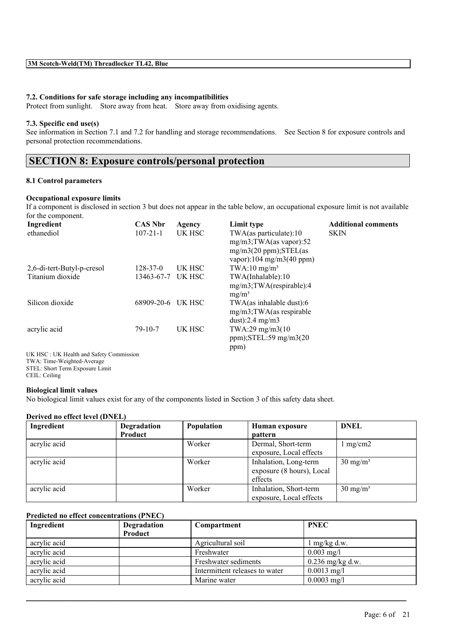#### **7.2. Conditions for safe storage including any incompatibilities**

Protect from sunlight. Store away from heat. Store away from oxidising agents.

#### **7.3. Specific end use(s)**

See information in Section 7.1 and 7.2 for handling and storage recommendations. See Section 8 for exposure controls and personal protection recommendations.

# **SECTION 8: Exposure controls/personal protection**

#### **8.1 Control parameters**

#### **Occupational exposure limits**

If a component is disclosed in section 3 but does not appear in the table below, an occupational exposure limit is not available for the component.

| Ingredient                 | <b>CAS Nbr</b> | Agency | Limit type                                                                                | <b>Additional comments</b> |
|----------------------------|----------------|--------|-------------------------------------------------------------------------------------------|----------------------------|
| ethanediol                 | $107 - 21 - 1$ | UK HSC | $TWA$ (as particulate): 10<br>$mg/m3$ ; TWA(as vapor): 52<br>$mg/m3(20 ppm);$ STEL $(as)$ | <b>SKIN</b>                |
|                            |                |        | vapor):104 mg/m3(40 ppm)                                                                  |                            |
| 2,6-di-tert-Butyl-p-cresol | $128 - 37 - 0$ | UK HSC | $TWA:10$ mg/m <sup>3</sup>                                                                |                            |
| Titanium dioxide           | 13463-67-7     | UK HSC | TWA(Inhalable):10                                                                         |                            |
|                            |                |        | mg/m3;TWA(respirable):4<br>$mg/m^3$                                                       |                            |
| Silicon dioxide            | 68909-20-6     | UK HSC | TWA(as inhalable dust):6                                                                  |                            |
|                            |                |        | $mg/m3$ ; TWA(as respirable                                                               |                            |
|                            |                |        | $dust$ :2.4 mg/m3                                                                         |                            |
| acrylic acid               | $79 - 10 - 7$  | UK HSC | $TWA:29$ mg/m $3(10)$                                                                     |                            |
|                            |                |        | $ppm$ ); STEL: 59 mg/m $3(20)$                                                            |                            |
|                            |                |        | ppm)                                                                                      |                            |
| THE HOOF THE TELL LOCK OF  |                |        |                                                                                           |                            |

UK HSC : UK Health and Safety Commission TWA: Time-Weighted-Average STEL: Short Term Exposure Limit CEIL: Ceiling

#### **Biological limit values**

No biological limit values exist for any of the components listed in Section 3 of this safety data sheet.

#### **Derived no effect level (DNEL)**

| Ingredient   | Degradation | Population | Human exposure            | <b>DNEL</b>         |
|--------------|-------------|------------|---------------------------|---------------------|
|              | Product     |            | <b>pattern</b>            |                     |
| acrylic acid |             | Worker     | Dermal, Short-term        | $1 \text{ mg/cm2}$  |
|              |             |            | exposure, Local effects   |                     |
| acrylic acid |             | Worker     | Inhalation, Long-term     | $30 \text{ mg/m}^3$ |
|              |             |            | exposure (8 hours), Local |                     |
|              |             |            | effects                   |                     |
| acrylic acid |             | Worker     | Inhalation, Short-term    | $30 \text{ mg/m}^3$ |
|              |             |            | exposure, Local effects   |                     |

#### **Predicted no effect concentrations (PNEC)**

| Ingredient   | Degradation | Compartment                    | <b>PNEC</b>        |
|--------------|-------------|--------------------------------|--------------------|
|              | Product     |                                |                    |
| acrylic acid |             | Agricultural soil              | $mg/kg$ d.w.       |
| acrylic acid |             | Freshwater                     | $0.003$ mg/l       |
| acrylic acid |             | Freshwater sediments           | $0.236$ mg/kg d.w. |
| acrylic acid |             | Intermittent releases to water | $0.0013$ mg/l      |
| acrylic acid |             | Marine water                   | $0.0003$ mg/l      |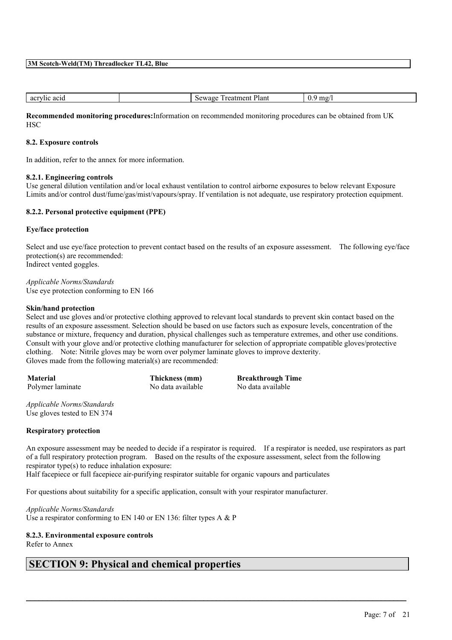| acr<br>ac <sup>-</sup><br>777 L L C<br>.<br>. | ∍.<br>Plan<br>en.<br>கமு<br>$-11$<br>и | $\mathbf{v}$ . |
|-----------------------------------------------|----------------------------------------|----------------|
|                                               |                                        |                |

**Recommended monitoring procedures:**Information on recommended monitoring procedures can be obtained from UK **HSC** 

#### **8.2. Exposure controls**

In addition, refer to the annex for more information.

#### **8.2.1. Engineering controls**

Use general dilution ventilation and/or local exhaust ventilation to control airborne exposures to below relevant Exposure Limits and/or control dust/fume/gas/mist/vapours/spray. If ventilation is not adequate, use respiratory protection equipment.

#### **8.2.2. Personal protective equipment (PPE)**

#### **Eye/face protection**

Select and use eye/face protection to prevent contact based on the results of an exposure assessment. The following eye/face protection(s) are recommended: Indirect vented goggles.

*Applicable Norms/Standards* Use eye protection conforming to EN 166

#### **Skin/hand protection**

Select and use gloves and/or protective clothing approved to relevant local standards to prevent skin contact based on the results of an exposure assessment. Selection should be based on use factors such as exposure levels, concentration of the substance or mixture, frequency and duration, physical challenges such as temperature extremes, and other use conditions. Consult with your glove and/or protective clothing manufacturer for selection of appropriate compatible gloves/protective clothing. Note: Nitrile gloves may be worn over polymer laminate gloves to improve dexterity. Gloves made from the following material(s) are recommended:

**Material Thickness (mm) Breakthrough Time** Polymer laminate No data available No data available

*Applicable Norms/Standards* Use gloves tested to EN 374

#### **Respiratory protection**

An exposure assessment may be needed to decide if a respirator is required. If a respirator is needed, use respirators as part of a full respiratory protection program. Based on the results of the exposure assessment, select from the following respirator type(s) to reduce inhalation exposure:

 $\mathcal{L}_\mathcal{L} = \mathcal{L}_\mathcal{L} = \mathcal{L}_\mathcal{L} = \mathcal{L}_\mathcal{L} = \mathcal{L}_\mathcal{L} = \mathcal{L}_\mathcal{L} = \mathcal{L}_\mathcal{L} = \mathcal{L}_\mathcal{L} = \mathcal{L}_\mathcal{L} = \mathcal{L}_\mathcal{L} = \mathcal{L}_\mathcal{L} = \mathcal{L}_\mathcal{L} = \mathcal{L}_\mathcal{L} = \mathcal{L}_\mathcal{L} = \mathcal{L}_\mathcal{L} = \mathcal{L}_\mathcal{L} = \mathcal{L}_\mathcal{L}$ 

Half facepiece or full facepiece air-purifying respirator suitable for organic vapours and particulates

For questions about suitability for a specific application, consult with your respirator manufacturer.

*Applicable Norms/Standards* Use a respirator conforming to EN 140 or EN 136: filter types A & P

#### **8.2.3. Environmental exposure controls**

Refer to Annex

### **SECTION 9: Physical and chemical properties**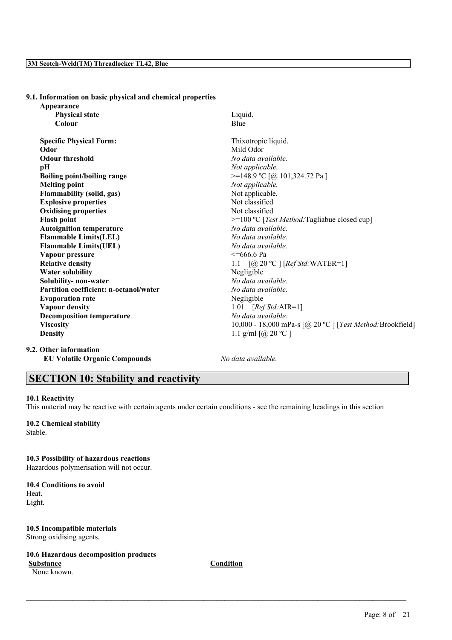#### **9.1. Information on basic physical and chemical properties**

| Appearance                             |                                                            |
|----------------------------------------|------------------------------------------------------------|
| <b>Physical state</b>                  | Liquid.                                                    |
| Colour                                 | Blue                                                       |
| <b>Specific Physical Form:</b>         | Thixotropic liquid.                                        |
| Odor                                   | Mild Odor                                                  |
| <b>Odour threshold</b>                 | No data available.                                         |
| pН                                     | Not applicable.                                            |
| <b>Boiling point/boiling range</b>     | >=148.9 °C [@ 101,324.72 Pa ]                              |
| <b>Melting point</b>                   | Not applicable.                                            |
| <b>Flammability (solid, gas)</b>       | Not applicable.                                            |
| <b>Explosive properties</b>            | Not classified                                             |
| <b>Oxidising properties</b>            | Not classified                                             |
| <b>Flash point</b>                     | $>=100 °C$ [ <i>Test Method</i> :Tagliabue closed cup]     |
| <b>Autoignition temperature</b>        | No data available.                                         |
| <b>Flammable Limits(LEL)</b>           | No data available.                                         |
| <b>Flammable Limits(UEL)</b>           | No data available.                                         |
| Vapour pressure                        | $\leq$ =666.6 Pa                                           |
| <b>Relative density</b>                | 1.1 $[@ 20 °C] [Ref Std: WATER=1]$                         |
| <b>Water solubility</b>                | Negligible                                                 |
| Solubility- non-water                  | No data available.                                         |
| Partition coefficient: n-octanol/water | No data available.                                         |
| <b>Evaporation rate</b>                | Negligible                                                 |
| <b>Vapour density</b>                  | 1.01 $[RefStd:AIR=1]$                                      |
| <b>Decomposition temperature</b>       | No data available.                                         |
| <b>Viscosity</b>                       | 10,000 - 18,000 mPa-s [@ 20 °C ] [Test Method: Brookfield] |
| <b>Density</b>                         | 1.1 g/ml $[@, 20 °C]$                                      |
|                                        |                                                            |

#### **9.2. Other information**

**EU Volatile Organic Compounds** *No data available.*

# **SECTION 10: Stability and reactivity**

#### **10.1 Reactivity**

This material may be reactive with certain agents under certain conditions - see the remaining headings in this section

# **10.2 Chemical stability**

Stable.

#### **10.3 Possibility of hazardous reactions**

Hazardous polymerisation will not occur.

#### **10.4 Conditions to avoid**

Heat. Light.

### **10.5 Incompatible materials**

Strong oxidising agents.

#### **10.6 Hazardous decomposition products**

None known.

**Substance Condition**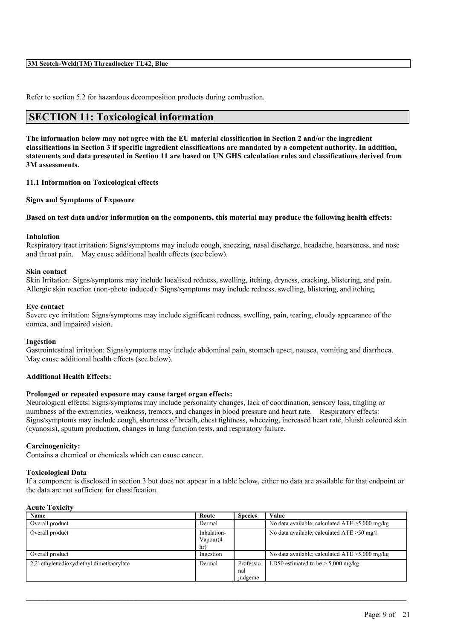Refer to section 5.2 for hazardous decomposition products during combustion.

# **SECTION 11: Toxicological information**

The information below may not agree with the EU material classification in Section 2 and/or the ingredient classifications in Section 3 if specific ingredient classifications are mandated by a competent authority. In addition, statements and data presented in Section 11 are based on UN GHS calculation rules and classifications derived from **3M assessments.**

**11.1 Information on Toxicological effects**

**Signs and Symptoms of Exposure**

#### Based on test data and/or information on the components, this material may produce the following health effects:

#### **Inhalation**

Respiratory tract irritation: Signs/symptoms may include cough, sneezing, nasal discharge, headache, hoarseness, and nose and throat pain. May cause additional health effects (see below).

#### **Skin contact**

Skin Irritation: Signs/symptoms may include localised redness, swelling, itching, dryness, cracking, blistering, and pain. Allergic skin reaction (non-photo induced): Signs/symptoms may include redness, swelling, blistering, and itching.

#### **Eye contact**

Severe eye irritation: Signs/symptoms may include significant redness, swelling, pain, tearing, cloudy appearance of the cornea, and impaired vision.

#### **Ingestion**

Gastrointestinal irritation: Signs/symptoms may include abdominal pain, stomach upset, nausea, vomiting and diarrhoea. May cause additional health effects (see below).

#### **Additional Health Effects:**

#### **Prolonged or repeated exposure may cause target organ effects:**

Neurological effects: Signs/symptoms may include personality changes, lack of coordination, sensory loss, tingling or numbness of the extremities, weakness, tremors, and changes in blood pressure and heart rate. Respiratory effects: Signs/symptoms may include cough, shortness of breath, chest tightness, wheezing, increased heart rate, bluish coloured skin (cyanosis), sputum production, changes in lung function tests, and respiratory failure.

#### **Carcinogenicity:**

Contains a chemical or chemicals which can cause cancer.

#### **Toxicological Data**

If a component is disclosed in section 3 but does not appear in a table below, either no data are available for that endpoint or the data are not sufficient for classification.

#### **Acute Toxicity**

| <b>Name</b>                              | Route                           | <b>Species</b>              | Value                                             |
|------------------------------------------|---------------------------------|-----------------------------|---------------------------------------------------|
| Overall product                          | Dermal                          |                             | No data available; calculated $ATE > 5,000$ mg/kg |
| Overall product                          | Inhalation-<br>Vapour(4)<br>hr) |                             | No data available; calculated $ATE > 50$ mg/l     |
| Overall product                          | Ingestion                       |                             | No data available; calculated $ATE > 5,000$ mg/kg |
| 2.2'-ethylenedioxydiethyl dimethacrylate | Dermal                          | Professio<br>nal<br>judgeme | LD50 estimated to be $> 5,000$ mg/kg              |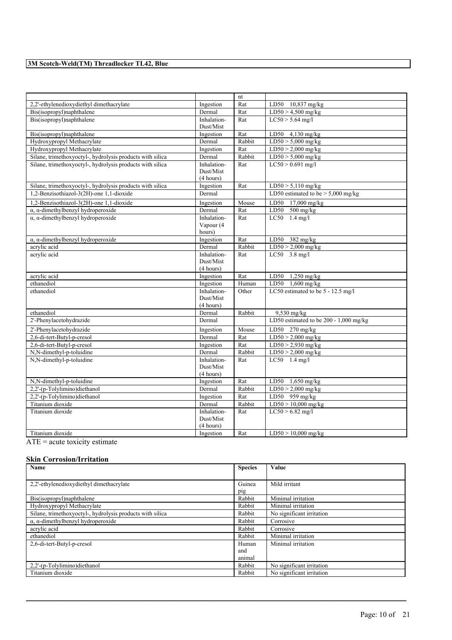|                                                           |                                       | nt     |                                        |
|-----------------------------------------------------------|---------------------------------------|--------|----------------------------------------|
| 2,2'-ethylenedioxydiethyl dimethacrylate                  | Ingestion                             | Rat    | LD50 10,837 mg/kg                      |
| Bis(isopropyl)naphthalene                                 | Dermal                                | Rat    | $LD50 > 4,500$ mg/kg                   |
| Bis(isopropyl)naphthalene                                 | Inhalation-                           | Rat    | $LC50 > 5.64$ mg/l                     |
|                                                           | Dust/Mist                             |        |                                        |
| Bis(isopropyl)naphthalene                                 | Ingestion                             | Rat    | LD50 4,130 mg/kg                       |
| Hydroxypropyl Methacrylate                                | Dermal                                | Rabbit | $LD50 > 5,000$ mg/kg                   |
| Hydroxypropyl Methacrylate                                | Ingestion                             | Rat    | $LD50 > 2,000$ mg/kg                   |
| Silane, trimethoxyoctyl-, hydrolysis products with silica | Dermal                                | Rabbit | $LD50 > 5,000$ mg/kg                   |
| Silane, trimethoxyoctyl-, hydrolysis products with silica | Inhalation-<br>Dust/Mist              | Rat    | $LC50 > 0.691$ mg/l                    |
|                                                           | (4 hours)                             |        |                                        |
| Silane, trimethoxyoctyl-, hydrolysis products with silica | Ingestion                             | Rat    | $LD50 > 5,110$ mg/kg                   |
| 1,2-Benzisothiazol-3(2H)-one 1,1-dioxide                  | Dermal                                |        | LD50 estimated to be $>$ 5,000 mg/kg   |
| 1,2-Benzisothiazol-3(2H)-one 1,1-dioxide                  | Ingestion                             | Mouse  | LD50 17,000 mg/kg                      |
| $\alpha$ , $\alpha$ -dimethylbenzyl hydroperoxide         | Dermal                                | Rat    | LD50 $500$ mg/kg                       |
| $\alpha$ , $\alpha$ -dimethylbenzyl hydroperoxide         | Inhalation-<br>Vapour (4              | Rat    | $LC50$ 1.4 mg/l                        |
|                                                           | hours)                                |        |                                        |
| $\alpha$ , $\alpha$ -dimethylbenzyl hydroperoxide         | Ingestion                             | Rat    | $LD50$ 382 mg/kg                       |
| acrylic acid                                              | Dermal                                | Rabbit | $LD50 > 2,000$ mg/kg                   |
| acrylic acid                                              | Inhalation-<br>Dust/Mist<br>(4 hours) | Rat    | LC50 $3.8$ mg/l                        |
| acrylic acid                                              | Ingestion                             | Rat    | LD50 1,250 mg/kg                       |
| ethanediol                                                | Ingestion                             | Human  | LD50 $1,600$ mg/kg                     |
| ethanediol                                                | Inhalation-                           | Other  | LC50 estimated to be 5 - 12.5 mg/l     |
|                                                           | Dust/Mist                             |        |                                        |
|                                                           | (4 hours)                             |        |                                        |
| ethanediol                                                | Dermal                                | Rabbit | $9,530$ mg/kg                          |
| 2'-Phenylacetohydrazide                                   | Dermal                                |        | LD50 estimated to be 200 - 1,000 mg/kg |
| 2'-Phenylacetohydrazide                                   | Ingestion                             | Mouse  | $LD50$ 270 mg/kg                       |
| 2,6-di-tert-Butyl-p-cresol                                | Dermal                                | Rat    | $LD50 > 2,000$ mg/kg                   |
| 2,6-di-tert-Butyl-p-cresol                                | Ingestion                             | Rat    | $LD50 > 2,930$ mg/kg                   |
| N,N-dimethyl-p-toluidine                                  | Dermal                                | Rabbit | $LD50 > 2,000$ mg/kg                   |
| N,N-dimethyl-p-toluidine                                  | Inhalation-                           | Rat    | $LC50$ 1.4 mg/l                        |
|                                                           | Dust/Mist                             |        |                                        |
|                                                           | (4 hours)                             |        |                                        |
| N,N-dimethyl-p-toluidine                                  | Ingestion                             | Rat    | LD50 1,650 mg/kg                       |
| 2,2'-(p-Tolylimino)diethanol                              | Dermal                                | Rabbit | $LD50 > 2,000$ mg/kg                   |
| 2,2'-(p-Tolylimino)diethanol                              | Ingestion                             | Rat    | LD50 959 mg/kg                         |
| Titanium dioxide                                          | Dermal                                | Rabbit | $LD50 > 10,000$ mg/kg                  |
| Titanium dioxide                                          | Inhalation-<br>Dust/Mist              | Rat    | $LC50 > 6.82$ mg/l                     |
|                                                           | (4 hours)                             |        |                                        |
| Titanium dioxide<br>$\cdot$ $\cdot$ $\cdot$<br>$\cdot$    | Ingestion                             | Rat    | $LD50 > 10,000$ mg/kg                  |

ATE = acute toxicity estimate

#### **Skin Corrosion/Irritation**

| Name                                                      | <b>Species</b> | Value                     |
|-----------------------------------------------------------|----------------|---------------------------|
|                                                           |                |                           |
| 2.2'-ethylenedioxydiethyl dimethacrylate                  | Guinea         | Mild irritant             |
|                                                           | pig            |                           |
| Bis(isopropyl)naphthalene                                 | Rabbit         | Minimal irritation        |
| Hydroxypropyl Methacrylate                                | Rabbit         | Minimal irritation        |
| Silane, trimethoxyoctyl-, hydrolysis products with silica | Rabbit         | No significant irritation |
| $\alpha$ , $\alpha$ -dimethylbenzyl hydroperoxide         | Rabbit         | Corrosive                 |
| acrylic acid                                              | Rabbit         | Corrosive                 |
| ethanediol                                                | Rabbit         | Minimal irritation        |
| 2,6-di-tert-Butyl-p-cresol                                | Human          | Minimal irritation        |
|                                                           | and            |                           |
|                                                           | animal         |                           |
| 2,2'-(p-Tolylimino)diethanol                              | Rabbit         | No significant irritation |
| Titanium dioxide                                          | Rabbit         | No significant irritation |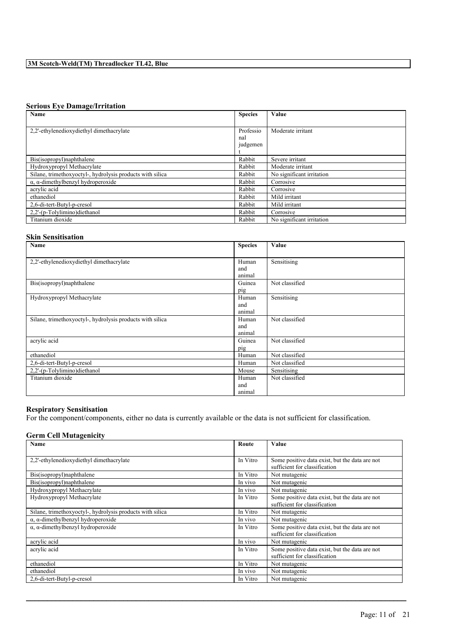#### **Serious Eye Damage/Irritation**

| Name                                                      | <b>Species</b> | Value                     |
|-----------------------------------------------------------|----------------|---------------------------|
|                                                           |                |                           |
| 2.2'-ethylenedioxydiethyl dimethacrylate                  | Professio      | Moderate irritant         |
|                                                           | nal            |                           |
|                                                           | judgemen       |                           |
|                                                           |                |                           |
| Bis(isopropyl)naphthalene                                 | Rabbit         | Severe irritant           |
| Hydroxypropyl Methacrylate                                | Rabbit         | Moderate irritant         |
| Silane, trimethoxyoctyl-, hydrolysis products with silica | Rabbit         | No significant irritation |
| $\alpha$ , $\alpha$ -dimethylbenzyl hydroperoxide         | Rabbit         | Corrosive                 |
| acrylic acid                                              | Rabbit         | Corrosive                 |
| ethanediol                                                | Rabbit         | Mild irritant             |
| 2.6-di-tert-Butyl-p-cresol                                | Rabbit         | Mild irritant             |
| 2.2'-(p-Tolylimino)diethanol                              | Rabbit         | Corrosive                 |
| Titanium dioxide                                          | Rabbit         | No significant irritation |

#### **Skin Sensitisation**

| Name                                                      | <b>Species</b> | Value          |
|-----------------------------------------------------------|----------------|----------------|
|                                                           |                |                |
| 2,2'-ethylenedioxydiethyl dimethacrylate                  | Human          | Sensitising    |
|                                                           | and            |                |
|                                                           | animal         |                |
| Bis(isopropyl)naphthalene                                 | Guinea         | Not classified |
|                                                           | pig            |                |
| Hydroxypropyl Methacrylate                                | Human          | Sensitising    |
|                                                           | and            |                |
|                                                           | animal         |                |
| Silane, trimethoxyoctyl-, hydrolysis products with silica | Human          | Not classified |
|                                                           | and            |                |
|                                                           | animal         |                |
| acrylic acid                                              | Guinea         | Not classified |
|                                                           | pig            |                |
| ethanediol                                                | Human          | Not classified |
| 2,6-di-tert-Butyl-p-cresol                                | Human          | Not classified |
| 2,2'-(p-Tolylimino)diethanol                              | Mouse          | Sensitising    |
| Titanium dioxide                                          | Human          | Not classified |
|                                                           | and            |                |
|                                                           | animal         |                |

#### **Respiratory Sensitisation**

For the component/components, either no data is currently available or the data is not sufficient for classification.

#### **Germ Cell Mutagenicity**

| Name                                                      | Route    | Value                                          |
|-----------------------------------------------------------|----------|------------------------------------------------|
|                                                           |          |                                                |
| 2,2'-ethylenedioxydiethyl dimethacrylate                  | In Vitro | Some positive data exist, but the data are not |
|                                                           |          | sufficient for classification                  |
| Bis(isopropyl)naphthalene                                 | In Vitro | Not mutagenic                                  |
| Bis(isopropyl)naphthalene                                 | In vivo  | Not mutagenic                                  |
| Hydroxypropyl Methacrylate                                | In vivo  | Not mutagenic                                  |
| Hydroxypropyl Methacrylate                                | In Vitro | Some positive data exist, but the data are not |
|                                                           |          | sufficient for classification                  |
| Silane, trimethoxyoctyl-, hydrolysis products with silica | In Vitro | Not mutagenic                                  |
| $\alpha$ , $\alpha$ -dimethylbenzyl hydroperoxide         | In vivo  | Not mutagenic                                  |
| $\alpha$ , $\alpha$ -dimethylbenzyl hydroperoxide         | In Vitro | Some positive data exist, but the data are not |
|                                                           |          | sufficient for classification                  |
| acrylic acid                                              | In vivo  | Not mutagenic                                  |
| acrylic acid                                              | In Vitro | Some positive data exist, but the data are not |
|                                                           |          | sufficient for classification                  |
| ethanediol                                                | In Vitro | Not mutagenic                                  |
| ethanediol                                                | In vivo  | Not mutagenic                                  |
| 2,6-di-tert-Butyl-p-cresol                                | In Vitro | Not mutagenic                                  |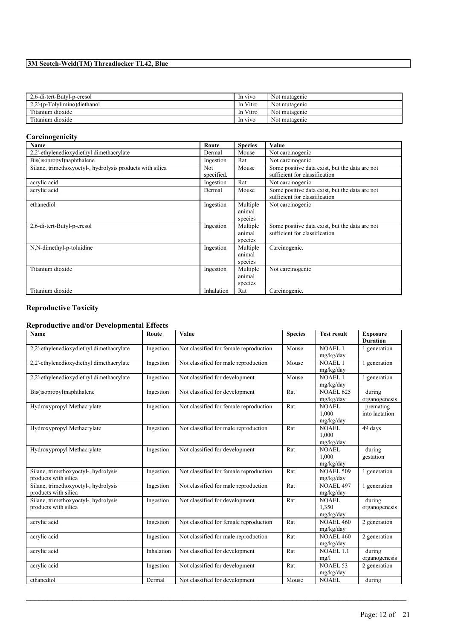| 2.6-di-tert-Butyl-p-cresol   | In vivo  | Not mutagenic |
|------------------------------|----------|---------------|
| 2.2'-(p-Tolylimino)diethanol | In Vitro | Not mutagenic |
| Titanium dioxide             | In Vitro | Not mutagenic |
| Titanium dioxide             | In vivo  | Not mutagenic |

#### **Carcinogenicity**

| Name                                                      | Route                    | <b>Species</b>                | Value                                                                           |
|-----------------------------------------------------------|--------------------------|-------------------------------|---------------------------------------------------------------------------------|
| 2,2'-ethylenedioxydiethyl dimethacrylate                  | Dermal                   | Mouse                         | Not carcinogenic                                                                |
| Bis(isopropyl)naphthalene                                 | Ingestion                | Rat                           | Not carcinogenic                                                                |
| Silane, trimethoxyoctyl-, hydrolysis products with silica | <b>Not</b><br>specified. | Mouse                         | Some positive data exist, but the data are not<br>sufficient for classification |
| acrylic acid                                              | Ingestion                | Rat                           | Not carcinogenic                                                                |
| acrylic acid                                              | Dermal                   | Mouse                         | Some positive data exist, but the data are not<br>sufficient for classification |
| ethanediol                                                | Ingestion                | Multiple<br>animal<br>species | Not carcinogenic                                                                |
| 2,6-di-tert-Butyl-p-cresol                                | Ingestion                | Multiple<br>animal<br>species | Some positive data exist, but the data are not<br>sufficient for classification |
| N,N-dimethyl-p-toluidine                                  | Ingestion                | Multiple<br>animal<br>species | Carcinogenic.                                                                   |
| Titanium dioxide                                          | Ingestion                | Multiple<br>animal<br>species | Not carcinogenic                                                                |
| Titanium dioxide                                          | Inhalation               | Rat                           | Carcinogenic.                                                                   |

# **Reproductive Toxicity**

### **Reproductive and/or Developmental Effects**

| <b>Name</b>                                                  | Route      | Value                                  | <b>Species</b> | <b>Test result</b>                 | <b>Exposure</b><br><b>Duration</b> |
|--------------------------------------------------------------|------------|----------------------------------------|----------------|------------------------------------|------------------------------------|
| 2,2'-ethylenedioxydiethyl dimethacrylate                     | Ingestion  | Not classified for female reproduction | Mouse          | NOAEL <sub>1</sub><br>mg/kg/day    | 1 generation                       |
| 2,2'-ethylenedioxydiethyl dimethacrylate                     | Ingestion  | Not classified for male reproduction   | Mouse          | NOAEL <sub>1</sub><br>mg/kg/day    | 1 generation                       |
| 2,2'-ethylenedioxydiethyl dimethacrylate                     | Ingestion  | Not classified for development         | Mouse          | <b>NOAEL1</b><br>mg/kg/day         | 1 generation                       |
| Bis(isopropyl)naphthalene                                    | Ingestion  | Not classified for development         | Rat            | <b>NOAEL 625</b><br>mg/kg/day      | during<br>organogenesis            |
| Hydroxypropyl Methacrylate                                   | Ingestion  | Not classified for female reproduction | Rat            | <b>NOAEL</b><br>1,000<br>mg/kg/day | premating<br>into lactation        |
| Hydroxypropyl Methacrylate                                   | Ingestion  | Not classified for male reproduction   | Rat            | <b>NOAEL</b><br>1.000<br>mg/kg/day | 49 days                            |
| Hydroxypropyl Methacrylate                                   | Ingestion  | Not classified for development         | Rat            | <b>NOAEL</b><br>1.000<br>mg/kg/day | during<br>gestation                |
| Silane, trimethoxyoctyl-, hydrolysis<br>products with silica | Ingestion  | Not classified for female reproduction | Rat            | <b>NOAEL 509</b><br>mg/kg/day      | 1 generation                       |
| Silane, trimethoxyoctyl-, hydrolysis<br>products with silica | Ingestion  | Not classified for male reproduction   | Rat            | <b>NOAEL 497</b><br>mg/kg/day      | 1 generation                       |
| Silane, trimethoxyoctyl-, hydrolysis<br>products with silica | Ingestion  | Not classified for development         | Rat            | <b>NOAEL</b><br>1,350<br>mg/kg/day | during<br>organogenesis            |
| acrylic acid                                                 | Ingestion  | Not classified for female reproduction | Rat            | <b>NOAEL 460</b><br>mg/kg/day      | 2 generation                       |
| acrylic acid                                                 | Ingestion  | Not classified for male reproduction   | Rat            | <b>NOAEL 460</b><br>mg/kg/day      | 2 generation                       |
| acrylic acid                                                 | Inhalation | Not classified for development         | Rat            | <b>NOAEL 1.1</b><br>mg/l           | during<br>organogenesis            |
| acrylic acid                                                 | Ingestion  | Not classified for development         | Rat            | NOAEL 53<br>mg/kg/day              | 2 generation                       |
| ethanediol                                                   | Dermal     | Not classified for development         | Mouse          | <b>NOAEL</b>                       | during                             |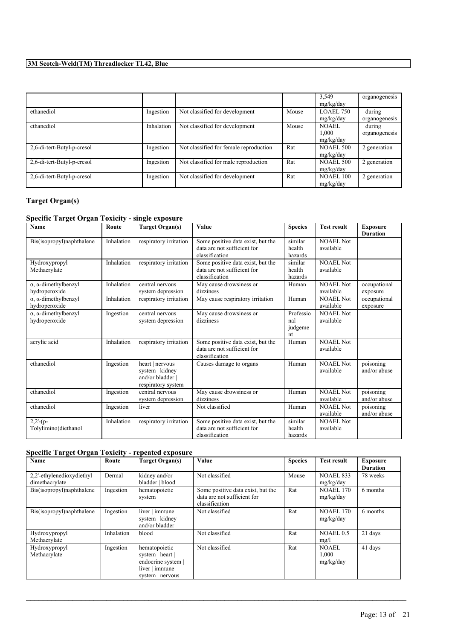|                            |            |                                        |       | 3,549            | organogenesis |
|----------------------------|------------|----------------------------------------|-------|------------------|---------------|
|                            |            |                                        |       | mg/kg/day        |               |
| ethanediol                 | Ingestion  | Not classified for development         | Mouse | <b>LOAEL 750</b> | during        |
|                            |            |                                        |       | mg/kg/day        | organogenesis |
| ethanediol                 | Inhalation | Not classified for development         | Mouse | NOAEL            | during        |
|                            |            |                                        |       | 1,000            | organogenesis |
|                            |            |                                        |       | mg/kg/day        |               |
| 2,6-di-tert-Butyl-p-cresol | Ingestion  | Not classified for female reproduction | Rat   | <b>NOAEL 500</b> | 2 generation  |
|                            |            |                                        |       | mg/kg/day        |               |
| 2,6-di-tert-Butyl-p-cresol | Ingestion  | Not classified for male reproduction   | Rat   | <b>NOAEL 500</b> | 2 generation  |
|                            |            |                                        |       | mg/kg/day        |               |
| 2,6-di-tert-Butyl-p-cresol | Ingestion  | Not classified for development         | Rat   | <b>NOAEL 100</b> | 2 generation  |
|                            |            |                                        |       | mg/kg/day        |               |

### **Target Organ(s)**

### **Specific Target Organ Toxicity - single exposure**

| <b>Name</b>                                          | Route      | <b>Target Organ(s)</b>                                                     | Value                                                                              | <b>Species</b>                    | <b>Test result</b>            | <b>Exposure</b><br><b>Duration</b> |
|------------------------------------------------------|------------|----------------------------------------------------------------------------|------------------------------------------------------------------------------------|-----------------------------------|-------------------------------|------------------------------------|
| Bis(isopropyl)naphthalene                            | Inhalation | respiratory irritation                                                     | Some positive data exist, but the<br>data are not sufficient for<br>classification | similar<br>health<br>hazards      | NOAEL Not<br>available        |                                    |
| Hydroxypropyl<br>Methacrylate                        | Inhalation | respiratory irritation                                                     | Some positive data exist, but the<br>data are not sufficient for<br>classification | similar<br>health<br>hazards      | NOAEL Not<br>available        |                                    |
| $\alpha$ , $\alpha$ -dimethylbenzyl<br>hydroperoxide | Inhalation | central nervous<br>system depression                                       | May cause drowsiness or<br>dizziness                                               | Human                             | <b>NOAEL Not</b><br>available | occupational<br>exposure           |
| $\alpha$ , $\alpha$ -dimethylbenzyl<br>hydroperoxide | Inhalation | respiratory irritation                                                     | May cause respiratory irritation                                                   | Human                             | <b>NOAEL Not</b><br>available | occupational<br>exposure           |
| $\alpha$ , $\alpha$ -dimethylbenzyl<br>hydroperoxide | Ingestion  | central nervous<br>system depression                                       | May cause drowsiness or<br>dizziness                                               | Professio<br>nal<br>judgeme<br>nt | <b>NOAEL Not</b><br>available |                                    |
| acrylic acid                                         | Inhalation | respiratory irritation                                                     | Some positive data exist, but the<br>data are not sufficient for<br>classification | Human                             | NOAEL Not<br>available        |                                    |
| ethanediol                                           | Ingestion  | heart   nervous<br>system   kidney<br>and/or bladder<br>respiratory system | Causes damage to organs                                                            | Human                             | NOAEL Not<br>available        | poisoning<br>and/or abuse          |
| ethanediol                                           | Ingestion  | central nervous<br>system depression                                       | May cause drowsiness or<br>dizziness                                               | Human                             | <b>NOAEL Not</b><br>available | poisoning<br>and/or abuse          |
| ethanediol                                           | Ingestion  | liver                                                                      | Not classified                                                                     | Human                             | NOAEL Not<br>available        | poisoning<br>and/or abuse          |
| $2,2'- (p-$<br>Tolylimino)diethanol                  | Inhalation | respiratory irritation                                                     | Some positive data exist, but the<br>data are not sufficient for<br>classification | similar<br>health<br>hazards      | NOAEL Not<br>available        |                                    |

## **Specific Target Organ Toxicity - repeated exposure**

| Name                                        | Route      | <b>Target Organ(s)</b>                                                                        | <b>Value</b>                                                                       | <b>Species</b> | <b>Test result</b>                 | <b>Exposure</b><br><b>Duration</b> |
|---------------------------------------------|------------|-----------------------------------------------------------------------------------------------|------------------------------------------------------------------------------------|----------------|------------------------------------|------------------------------------|
| 2,2'-ethylenedioxydiethyl<br>dimethacrylate | Dermal     | kidney and/or<br>bladder   blood                                                              | Not classified                                                                     | Mouse          | <b>NOAEL 833</b><br>mg/kg/day      | 78 weeks                           |
| Bis(isopropyl)naphthalene                   | Ingestion  | hematopoietic<br>system                                                                       | Some positive data exist, but the<br>data are not sufficient for<br>classification | Rat            | <b>NOAEL 170</b><br>mg/kg/day      | 6 months                           |
| Bis(isopropyl)naphthalene                   | Ingestion  | liver   immune<br>system   kidney<br>and/or bladder                                           | Not classified                                                                     | Rat            | <b>NOAEL 170</b><br>mg/kg/day      | 6 months                           |
| Hydroxypropyl<br>Methacrylate               | Inhalation | blood                                                                                         | Not classified                                                                     | Rat            | NOAEL0.5<br>mg/l                   | 21 days                            |
| Hydroxypropyl<br>Methacrylate               | Ingestion  | hematopoietic<br>system   heart  <br>endocrine system  <br>liver   immune<br>system   nervous | Not classified                                                                     | Rat            | <b>NOAEL</b><br>1,000<br>mg/kg/day | 41 days                            |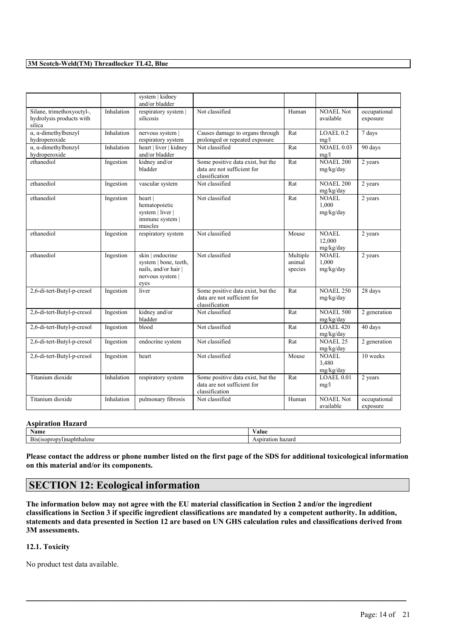|                                                                 |            | system   kidney<br>and/or bladder                                                           |                                                                                    |                               |                                     |                          |
|-----------------------------------------------------------------|------------|---------------------------------------------------------------------------------------------|------------------------------------------------------------------------------------|-------------------------------|-------------------------------------|--------------------------|
| Silane, trimethoxyoctyl-,<br>hydrolysis products with<br>silica | Inhalation | respiratory system  <br>silicosis                                                           | Not classified                                                                     | Human                         | <b>NOAEL Not</b><br>available       | occupational<br>exposure |
| $\alpha$ , $\alpha$ -dimethylbenzyl<br>hydroperoxide            | Inhalation | nervous system<br>respiratory system                                                        | Causes damage to organs through<br>prolonged or repeated exposure                  | Rat                           | LOAEL <sub>0.2</sub><br>mg/l        | 7 days                   |
| $\alpha$ , $\alpha$ -dimethylbenzyl<br>hydroperoxide            | Inhalation | heart   liver   kidney<br>and/or bladder                                                    | Not classified                                                                     | Rat                           | <b>NOAEL 0.03</b><br>mg/l           | 90 days                  |
| ethanediol                                                      | Ingestion  | kidney and/or<br>bladder                                                                    | Some positive data exist, but the<br>data are not sufficient for<br>classification | Rat                           | <b>NOAEL 200</b><br>mg/kg/day       | 2 years                  |
| ethanediol                                                      | Ingestion  | vascular system                                                                             | Not classified                                                                     | Rat                           | <b>NOAEL 200</b><br>mg/kg/day       | 2 years                  |
| ethanediol                                                      | Ingestion  | heart  <br>hematopoietic<br>system   liver  <br>immune system  <br>muscles                  | Not classified                                                                     | Rat                           | NOAEL.<br>1,000<br>mg/kg/day        | 2 years                  |
| ethanediol                                                      | Ingestion  | respiratory system                                                                          | Not classified                                                                     | Mouse                         | <b>NOAEL</b><br>12,000<br>mg/kg/day | 2 years                  |
| ethanediol                                                      | Ingestion  | skin   endocrine<br>system   bone, teeth,<br>nails, and/or hair<br>nervous system  <br>eyes | Not classified                                                                     | Multiple<br>animal<br>species | NOAEL<br>1,000<br>mg/kg/day         | 2 years                  |
| 2,6-di-tert-Butyl-p-cresol                                      | Ingestion  | liver                                                                                       | Some positive data exist, but the<br>data are not sufficient for<br>classification | Rat                           | <b>NOAEL 250</b><br>mg/kg/day       | 28 days                  |
| 2,6-di-tert-Butyl-p-cresol                                      | Ingestion  | kidney and/or<br>bladder                                                                    | Not classified                                                                     | Rat                           | <b>NOAEL 500</b><br>mg/kg/day       | 2 generation             |
| 2,6-di-tert-Butyl-p-cresol                                      | Ingestion  | blood                                                                                       | Not classified                                                                     | Rat                           | LOAEL 420<br>mg/kg/day              | 40 days                  |
| 2,6-di-tert-Butyl-p-cresol                                      | Ingestion  | endocrine system                                                                            | Not classified                                                                     | Rat                           | <b>NOAEL 25</b><br>mg/kg/day        | 2 generation             |
| 2,6-di-tert-Butyl-p-cresol                                      | Ingestion  | heart                                                                                       | Not classified                                                                     | Mouse                         | <b>NOAEL</b><br>3,480<br>mg/kg/day  | 10 weeks                 |
| Titanium dioxide                                                | Inhalation | respiratory system                                                                          | Some positive data exist, but the<br>data are not sufficient for<br>classification | Rat                           | $LOAEL$ <sub>0.01</sub><br>mg/l     | 2 years                  |
| Titanium dioxide                                                | Inhalation | pulmonary fibrosis                                                                          | Not classified                                                                     | Human                         | <b>NOAEL Not</b><br>available       | occupational<br>exposure |

#### **Aspiration Hazard**

| Name                                               | ⁄ alue              |
|----------------------------------------------------|---------------------|
| $-$<br>vDnaphthalene<br>B <sub>1S</sub><br>130010D | hazarc<br>эr<br>SDF |

Please contact the address or phone number listed on the first page of the SDS for additional toxicological information **on this material and/or its components.**

# **SECTION 12: Ecological information**

The information below may not agree with the EU material classification in Section 2 and/or the ingredient classifications in Section 3 if specific ingredient classifications are mandated by a competent authority. In addition, statements and data presented in Section 12 are based on UN GHS calculation rules and classifications derived from **3M assessments.**

 $\mathcal{L}_\mathcal{L} = \mathcal{L}_\mathcal{L} = \mathcal{L}_\mathcal{L} = \mathcal{L}_\mathcal{L} = \mathcal{L}_\mathcal{L} = \mathcal{L}_\mathcal{L} = \mathcal{L}_\mathcal{L} = \mathcal{L}_\mathcal{L} = \mathcal{L}_\mathcal{L} = \mathcal{L}_\mathcal{L} = \mathcal{L}_\mathcal{L} = \mathcal{L}_\mathcal{L} = \mathcal{L}_\mathcal{L} = \mathcal{L}_\mathcal{L} = \mathcal{L}_\mathcal{L} = \mathcal{L}_\mathcal{L} = \mathcal{L}_\mathcal{L}$ 

#### **12.1. Toxicity**

No product test data available.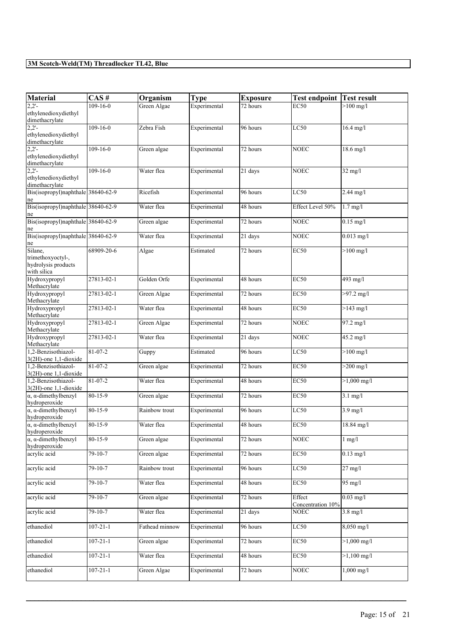| <b>Material</b>                                                    | CAS#           | Organism       | <b>Type</b>  | <b>Exposure</b>       | <b>Test endpoint</b>        | <b>Test result</b>    |
|--------------------------------------------------------------------|----------------|----------------|--------------|-----------------------|-----------------------------|-----------------------|
| $2,2'$ -<br>ethylenedioxydiethyl<br>dimethacrylate                 | 109-16-0       | Green Algae    | Experimental | $\overline{72}$ hours | <b>EC50</b>                 | $>100$ mg/l           |
| $2,2'$ -<br>ethylenedioxydiethyl<br>dimethacrylate                 | $109 - 16 - 0$ | Zebra Fish     | Experimental | 96 hours              | LC50                        | $16.4$ mg/l           |
| $2,2'$ -<br>ethylenedioxydiethyl<br>dimethacrylate                 | $109 - 16 - 0$ | Green algae    | Experimental | 72 hours              | <b>NOEC</b>                 | $18.6$ mg/l           |
| 2.2'<br>ethylenedioxydiethyl<br>dimethacrylate                     | $109 - 16 - 0$ | Water flea     | Experimental | 21 days               | <b>NOEC</b>                 | $32$ mg/l             |
| Bis(isopropyl)naphthale 38640-62-9<br>ne                           |                | Ricefish       | Experimental | 96 hours              | LC50                        | 2.44 mg/l             |
| Bis(isopropyl)naphthale 38640-62-9<br>ne                           |                | Water flea     | Experimental | 48 hours              | Effect Level 50%            | $1.7$ mg/l            |
| Bis(isopropyl)naphthale 38640-62-9<br>ne                           |                | Green algae    | Experimental | 72 hours              | <b>NOEC</b>                 | $0.15$ mg/l           |
| Bis(isopropyl)naphthale 38640-62-9<br>ne                           |                | Water flea     | Experimental | 21 days               | <b>NOEC</b>                 | $0.013$ mg/l          |
| Silane,<br>trimethoxyoctyl-,<br>hydrolysis products<br>with silica | 68909-20-6     | Algae          | Estimated    | 72 hours              | <b>EC50</b>                 | $>100$ mg/l           |
| Hydroxypropyl<br>Methacrylate                                      | 27813-02-1     | Golden Orfe    | Experimental | 48 hours              | <b>EC50</b>                 | 493 mg/l              |
| Hydroxypropyl<br>Methacrylate                                      | 27813-02-1     | Green Algae    | Experimental | 72 hours              | <b>EC50</b>                 | $>97.2$ mg/l          |
| Hydroxypropyl<br>Methacrylate                                      | 27813-02-1     | Water flea     | Experimental | 48 hours              | EC50                        | $>143$ mg/l           |
| Hydroxypropyl<br>Methacrylate                                      | 27813-02-1     | Green Algae    | Experimental | 72 hours              | <b>NOEC</b>                 | 97.2 mg/l             |
| Hydroxypropyl<br>Methacrylate                                      | 27813-02-1     | Water flea     | Experimental | 21 days               | NOEC                        | 45.2 mg/l             |
| .2-Benzisothiazol-<br>3(2H)-one 1,1-dioxide                        | 81-07-2        | Guppy          | Estimated    | 96 hours              | LC50                        | $>100$ mg/l           |
| 1,2-Benzisothiazol-<br>3(2H)-one 1,1-dioxide                       | $81 - 07 - 2$  | Green algae    | Experimental | 72 hours              | <b>EC50</b>                 | $>200$ mg/l           |
| 1.2-Benzisothiazol-<br>3(2H)-one 1,1-dioxide                       | 81-07-2        | Water flea     | Experimental | 48 hours              | EC50                        | $>1,000$ mg/l         |
| $\alpha$ , $\alpha$ -dimethylbenzyl<br>hydroperoxide               | 80-15-9        | Green algae    | Experimental | 72 hours              | <b>EC50</b>                 | $3.1$ mg/l            |
| $\alpha$ , $\alpha$ -dimethylbenzyl<br>hydroperoxide               | 80-15-9        | Rainbow trout  | Experimental | 96 hours              | LC50                        | $3.9$ mg/l            |
| $\alpha$ , $\alpha$ -dimethylbenzyl<br>hydroperoxide               | 80-15-9        | Water flea     | Experimental | 48 hours              | <b>EC50</b>                 | 18.84 mg/l            |
| $\alpha$ , $\alpha$ -dimethylbenzyl<br>hydroperoxide               | 80-15-9        | Green algae    | Experimental | 72 hours              | <b>NOEC</b>                 | $1$ mg/ $1$           |
| acrylic acid                                                       | $79 - 10 - 7$  | Green algae    | Experimental | 72 hours              | <b>EC50</b>                 | $0.13$ mg/l           |
| acrylic acid                                                       | $79-10-7$      | Rainbow trout  | Experimental | 96 hours              | LC50                        | $27 \text{ mg/l}$     |
| acrylic acid                                                       | $79-10-7$      | Water flea     | Experimental | 48 hours              | EC50                        | 95 mg/l               |
| acrylic acid                                                       | $79 - 10 - 7$  | Green algae    | Experimental | 72 hours              | Effect<br>Concentration 10% | $0.03$ mg/l           |
| acrylic acid                                                       | 79-10-7        | Water flea     | Experimental | 21 days               | NOEC                        | $3.8$ mg/l            |
| ethanediol                                                         | $107 - 21 - 1$ | Fathead minnow | Experimental | 96 hours              | LC50                        | 8,050 mg/l            |
| ethanediol                                                         | $107 - 21 - 1$ | Green algae    | Experimental | 72 hours              | EC50                        | $>1,000 \text{ mg/l}$ |
| ethanediol                                                         | $107 - 21 - 1$ | Water flea     | Experimental | 48 hours              | <b>EC50</b>                 | $>1,100$ mg/l         |
| ethanediol                                                         | $107 - 21 - 1$ | Green Algae    | Experimental | 72 hours              | <b>NOEC</b>                 | $1,000 \text{ mg/l}$  |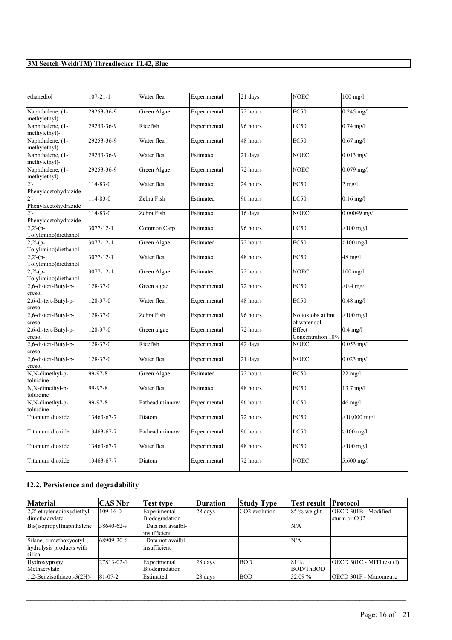| ethanediol                          | $107 - 21 - 1$  | Water flea     | Experimental | 21 days  | <b>NOEC</b>                       | $100$ mg/l               |
|-------------------------------------|-----------------|----------------|--------------|----------|-----------------------------------|--------------------------|
| Naphthalene, (1-<br>methylethyl)-   | 29253-36-9      | Green Algae    | Experimental | 72 hours | <b>EC50</b>                       | $0.245$ mg/l             |
| Naphthalene, (1-<br>methylethyl)-   | 29253-36-9      | Ricefish       | Experimental | 96 hours | LC50                              | $0.74$ mg/l              |
| Naphthalene, (1-<br>methylethyl)-   | 29253-36-9      | Water flea     | Experimental | 48 hours | <b>EC50</b>                       | $0.67$ mg/l              |
| Naphthalene, (1-<br>methylethyl)-   | 29253-36-9      | Water flea     | Estimated    | 21 days  | <b>NOEC</b>                       | $0.013$ mg/l             |
| Naphthalene, (1-<br>methylethyl)-   | 29253-36-9      | Green Algae    | Experimental | 72 hours | <b>NOEC</b>                       | $0.079$ mg/l             |
| $2'$ -<br>Phenylacetohydrazide      | $114 - 83 - 0$  | Water flea     | Estimated    | 24 hours | <b>EC50</b>                       | $2 \overline{\text{mg}}$ |
| $2'$ -<br>Phenylacetohydrazide      | $114 - 83 - 0$  | Zebra Fish     | Estimated    | 96 hours | LC50                              | $0.16$ mg/l              |
| $2'$ -<br>Phenylacetohydrazide      | $114 - 83 - 0$  | Zebra Fish     | Estimated    | 16 days  | <b>NOEC</b>                       | $0.00049$ mg/l           |
| $2,2-(p-$<br>Tolylimino)diethanol   | 3077-12-1       | Common Carp    | Estimated    | 96 hours | LC50                              | $>100 \text{ mg/l}$      |
| $2,2'$ -(p-<br>Tolylimino)diethanol | $3077 - 12 - 1$ | Green Algae    | Estimated    | 72 hours | EC50                              | $>100$ mg/l              |
| $2,2-(p-$<br>Tolylimino)diethanol   | 3077-12-1       | Water flea     | Estimated    | 48 hours | EC50                              | $48 \text{ mg}/l$        |
| $2,2-(p-$<br>Tolylimino)diethanol   | $3077 - 12 - 1$ | Green Algae    | Estimated    | 72 hours | <b>NOEC</b>                       | $100$ mg/l               |
| 2,6-di-tert-Butyl-p-<br>cresol      | 128-37-0        | Green algae    | Experimental | 72 hours | <b>EC50</b>                       | $>0.4$ mg/l              |
| 2,6-di-tert-Butyl-p-<br>cresol      | 128-37-0        | Water flea     | Experimental | 48 hours | <b>EC50</b>                       | $0.48$ mg/l              |
| 2,6-di-tert-Butyl-p-<br>cresol      | $128 - 37 - 0$  | Zebra Fish     | Experimental | 96 hours | No tox obs at lmt<br>of water sol | $>100$ mg/l              |
| 2,6-di-tert-Butyl-p-<br>cresol      | 128-37-0        | Green algae    | Experimental | 72 hours | Effect<br>Concentration 10%       | $0.4$ mg/l               |
| 2,6-di-tert-Butyl-p-<br>cresol      | $128 - 37 - 0$  | Ricefish       | Experimental | 42 days  | <b>NOEC</b>                       | $0.053$ mg/l             |
| 2,6-di-tert-Butyl-p-<br>cresol      | 128-37-0        | Water flea     | Experimental | 21 days  | <b>NOEC</b>                       | $0.023$ mg/l             |
| N,N-dimethyl-p-<br>toluidine        | 99-97-8         | Green Algae    | Estimated    | 72 hours | <b>EC50</b>                       | $22 \text{ mg/l}$        |
| N,N-dimethyl-p-<br>toluidine        | 99-97-8         | Water flea     | Estimated    | 48 hours | <b>EC50</b>                       | $13.7 \text{ mg}/1$      |
| N,N-dimethyl-p-<br>toluidine        | 99-97-8         | Fathead minnow | Experimental | 96 hours | LC50                              | 46 mg/l                  |
| Titanium dioxide                    | 13463-67-7      | Diatom         | Experimental | 72 hours | <b>EC50</b>                       | $>10,000$ mg/l           |
| Titanium dioxide                    | 13463-67-7      | Fathead minnow | Experimental | 96 hours | LC50                              | $>100 \text{ mg/l}$      |
| Titanium dioxide                    | 13463-67-7      | Water flea     | Experimental | 48 hours | <b>EC50</b>                       | $>100$ mg/l              |
| Titanium dioxide                    | 13463-67-7      | Diatom         | Experimental | 72 hours | <b>NOEC</b>                       | $5,600$ mg/l             |

# **12.2. Persistence and degradability**

| Material                     | <b>CAS Nbr</b> | Test type         | <b>Duration</b> | <b>Study Type</b> | <b>Test result</b> | <b>Protocol</b>                |
|------------------------------|----------------|-------------------|-----------------|-------------------|--------------------|--------------------------------|
| $2,2'$ -ethylenedioxydiethyl | $109 - 16 - 0$ | Experimental      | 28 days         | ICO2 evolution    | $85\%$ weight      | OECD 301B - Modified           |
| dimethacrylate               |                | Biodegradation    |                 |                   |                    | sturm or CO <sub>2</sub>       |
| Bis(isopropyl)naphthalene    | 38640-62-9     | Data not availbl- |                 |                   | N/A                |                                |
|                              |                | insufficient      |                 |                   |                    |                                |
| Silane, trimethoxyoctyl-,    | 68909-20-6     | Data not availbl- |                 |                   | N/A                |                                |
| hydrolysis products with     |                | insufficient      |                 |                   |                    |                                |
| silica                       |                |                   |                 |                   |                    |                                |
| Hydroxypropyl                | 27813-02-1     | Experimental      | 28 days         | <b>BOD</b>        | 181 %              | $[OECD 301C - MITI test (I)]$  |
| Methacrylate                 |                | Biodegradation    |                 |                   | BOD/ThBOD          |                                |
| 1,2-Benzisothiazol-3(2H)-    | 81-07-2        | Estimated         | 28 days         | <b>BOD</b>        | 32.09 %            | <b>IOECD 301F - Manometric</b> |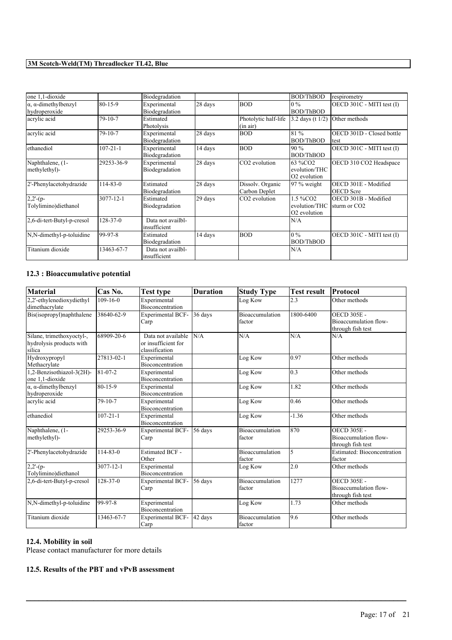| one 1,1-dioxide                                      |                | Biodegradation                    |         |                                   | <b>BOD/ThBOD</b>                                                  | respirometry                                     |
|------------------------------------------------------|----------------|-----------------------------------|---------|-----------------------------------|-------------------------------------------------------------------|--------------------------------------------------|
| $\alpha$ , $\alpha$ -dimethylbenzyl<br>hydroperoxide | $80 - 15 - 9$  | Experimental<br>Biodegradation    | 28 days | <b>BOD</b>                        | $10\%$<br><b>BOD/ThBOD</b>                                        | OECD 301C - MITI test (I)                        |
| acrylic acid                                         | 79-10-7        | Estimated<br>Photolysis           |         | Photolytic half-life<br>(in air)  | 3.2 days (t 1/2)                                                  | Other methods                                    |
| acrylic acid                                         | $79 - 10 - 7$  | Experimental<br>Biodegradation    | 28 days | <b>BOD</b>                        | 81 %<br><b>BOD/ThBOD</b>                                          | OECD 301D - Closed bottle<br>test                |
| ethanediol                                           | $107 - 21 - 1$ | Experimental<br>Biodegradation    | 14 days | <b>BOD</b>                        | 190 %<br><b>BOD/ThBOD</b>                                         | OECD 301C - MITI test (I)                        |
| Naphthalene, (1-<br>methylethyl)-                    | 29253-36-9     | Experimental<br>Biodegradation    | 28 days | CO <sub>2</sub> evolution         | 63 %CO2<br>evolution/THC<br>O <sub>2</sub> evolution              | OECD 310 CO2 Headspace                           |
| 2'-Phenylacetohydrazide                              | 114-83-0       | Estimated<br>Biodegradation       | 28 days | Dissolv. Organic<br>Carbon Deplet | $97\%$ weight                                                     | OECD 301E - Modified<br><b>OECD</b> Scre         |
| $2,2-(p-$<br>Tolylimino) diethanol                   | 3077-12-1      | Estimated<br>Biodegradation       | 29 days | CO <sub>2</sub> evolution         | 1.5 %CO <sub>2</sub><br>evolution/THC<br>O <sub>2</sub> evolution | OECD 301B - Modified<br>sturm or CO <sub>2</sub> |
| 2,6-di-tert-Butyl-p-cresol                           | $128 - 37 - 0$ | Data not availbl-<br>insufficient |         |                                   | N/A                                                               |                                                  |
| N,N-dimethyl-p-toluidine                             | 99-97-8        | Estimated<br>Biodegradation       | 14 days | <b>BOD</b>                        | $10\%$<br><b>BOD/ThBOD</b>                                        | OECD 301C - MITI test (I)                        |
| Titanium dioxide                                     | 13463-67-7     | Data not availbl-<br>insufficient |         |                                   | N/A                                                               |                                                  |

### **12.3 : Bioaccumulative potential**

| <b>Material</b>                                                 | Cas No.         | Test type                                                   | <b>Duration</b> | <b>Study Type</b>                | <b>Test result</b> | Protocol                                                         |
|-----------------------------------------------------------------|-----------------|-------------------------------------------------------------|-----------------|----------------------------------|--------------------|------------------------------------------------------------------|
| 2,2'-ethylenedioxydiethyl<br>dimethacrylate                     | $109 - 16 - 0$  | Experimental<br>Bioconcentration                            |                 | Log Kow                          | 2.3                | Other methods                                                    |
| Bis(isopropyl)naphthalene                                       | 38640-62-9      | <b>Experimental BCF-</b><br>Carp                            | 36 days         | <b>Bioaccumulation</b><br>factor | 1800-6400          | <b>OECD 305E -</b><br>Bioaccumulation flow-<br>through fish test |
| Silane, trimethoxyoctyl-,<br>hydrolysis products with<br>silica | 68909-20-6      | Data not available<br>or insufficient for<br>classification | N/A             | N/A                              | N/A                | N/A                                                              |
| Hydroxypropyl<br>Methacrylate                                   | 27813-02-1      | Experimental<br><b>Bioconcentration</b>                     |                 | Log Kow                          | 0.97               | Other methods                                                    |
| 1,2-Benzisothiazol-3(2H)-<br>one 1.1-dioxide                    | $81-07-2$       | Experimental<br>Bioconcentration                            |                 | Log Kow                          | $\overline{0.3}$   | Other methods                                                    |
| $\alpha$ , $\alpha$ -dimethylbenzyl<br>hydroperoxide            | 80-15-9         | Experimental<br>Bioconcentration                            |                 | Log Kow                          | 1.82               | Other methods                                                    |
| acrylic acid                                                    | $79 - 10 - 7$   | Experimental<br>Bioconcentration                            |                 | Log Kow                          | 0.46               | Other methods                                                    |
| ethanediol                                                      | $107 - 21 - 1$  | Experimental<br>Bioconcentration                            |                 | Log Kow                          | $-1.36$            | Other methods                                                    |
| Naphthalene, (1-<br>methylethyl)-                               | 29253-36-9      | <b>Experimental BCF-</b><br>Carp                            | 56 days         | Bioaccumulation<br>factor        | 870                | <b>OECD 305E -</b><br>Bioaccumulation flow-<br>through fish test |
| 2'-Phenylacetohydrazide                                         | 114-83-0        | <b>Estimated BCF -</b><br>Other                             |                 | <b>Bioaccumulation</b><br>factor | 5                  | Estimated: Bioconcentration<br>factor                            |
| $2,2-(p-$<br>Tolylimino)diethanol                               | $3077 - 12 - 1$ | Experimental<br><b>Bioconcentration</b>                     |                 | Log Kow                          | 2.0                | Other methods                                                    |
| 2,6-di-tert-Butyl-p-cresol                                      | $128 - 37 - 0$  | <b>Experimental BCF-</b><br>Carp                            | 56 days         | <b>Bioaccumulation</b><br>factor | 1277               | <b>OECD 305E -</b><br>Bioaccumulation flow-<br>through fish test |
| N,N-dimethyl-p-toluidine                                        | 99-97-8         | Experimental<br><b>Bioconcentration</b>                     |                 | Log Kow                          | 1.73               | Other methods                                                    |
| Titanium dioxide                                                | 13463-67-7      | <b>Experimental BCF-</b><br>Carp                            | 42 days         | Bioaccumulation<br><b>factor</b> | 9.6                | Other methods                                                    |

 $\mathcal{L}_\mathcal{L} = \mathcal{L}_\mathcal{L} = \mathcal{L}_\mathcal{L} = \mathcal{L}_\mathcal{L} = \mathcal{L}_\mathcal{L} = \mathcal{L}_\mathcal{L} = \mathcal{L}_\mathcal{L} = \mathcal{L}_\mathcal{L} = \mathcal{L}_\mathcal{L} = \mathcal{L}_\mathcal{L} = \mathcal{L}_\mathcal{L} = \mathcal{L}_\mathcal{L} = \mathcal{L}_\mathcal{L} = \mathcal{L}_\mathcal{L} = \mathcal{L}_\mathcal{L} = \mathcal{L}_\mathcal{L} = \mathcal{L}_\mathcal{L}$ 

# **12.4. Mobility in soil**

Please contact manufacturer for more details

#### **12.5. Results of the PBT and vPvB assessment**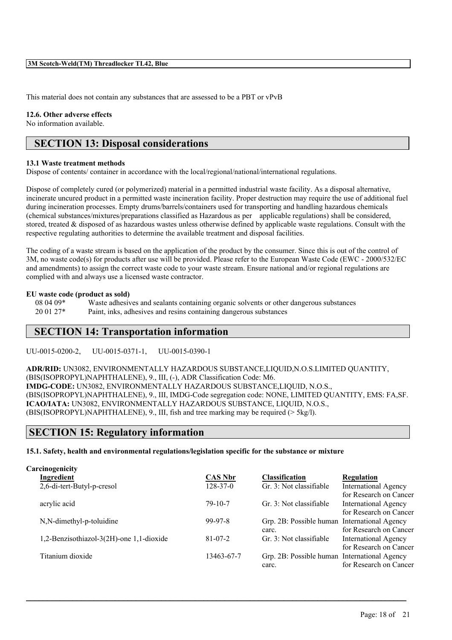This material does not contain any substances that are assessed to be a PBT or vPvB

#### **12.6. Other adverse effects**

No information available.

# **SECTION 13: Disposal considerations**

#### **13.1 Waste treatment methods**

Dispose of contents/ container in accordance with the local/regional/national/international regulations.

Dispose of completely cured (or polymerized) material in a permitted industrial waste facility. As a disposal alternative, incinerate uncured product in a permitted waste incineration facility. Proper destruction may require the use of additional fuel during incineration processes. Empty drums/barrels/containers used for transporting and handling hazardous chemicals (chemical substances/mixtures/preparations classified as Hazardous as per applicable regulations) shall be considered, stored, treated & disposed of as hazardous wastes unless otherwise defined by applicable waste regulations. Consult with the respective regulating authorities to determine the available treatment and disposal facilities.

The coding of a waste stream is based on the application of the product by the consumer. Since this is out of the control of 3M, no waste code(s) for products after use will be provided. Please refer to the European Waste Code (EWC - 2000/532/EC and amendments) to assign the correct waste code to your waste stream. Ensure national and/or regional regulations are complied with and always use a licensed waste contractor.

#### **EU waste code (product as sold)**

08 04 09\* Waste adhesives and sealants containing organic solvents or other dangerous substances 20 01 27\* Paint, inks, adhesives and resins containing dangerous substances

# **SECTION 14: Transportation information**

UU-0015-0200-2, UU-0015-0371-1, UU-0015-0390-1

**ADR/RID:** UN3082, ENVIRONMENTALLY HAZARDOUS SUBSTANCE,LIQUID,N.O.S.LIMITED QUANTITY, (BIS(ISOPROPYL)NAPHTHALENE), 9., III, (-), ADR Classification Code: M6. **IMDG-CODE:** UN3082, ENVIRONMENTALLY HAZARDOUS SUBSTANCE,LIQUID, N.O.S., (BIS(ISOPROPYL)NAPHTHALENE), 9., III, IMDG-Code segregation code: NONE, LIMITED QUANTITY, EMS: FA,SF. **ICAO/IATA:** UN3082, ENVIRONMENTALLY HAZARDOUS SUBSTANCE, LIQUID, N.O.S., (BIS(ISOPROPYL)NAPHTHALENE), 9., III, fish and tree marking may be required (> 5kg/l).

# **SECTION 15: Regulatory information**

**15.1. Safety, health and environmental regulations/legislation specific for the substance or mixture**

| Carcinogenicity                          |                |                                              |                             |
|------------------------------------------|----------------|----------------------------------------------|-----------------------------|
| Ingredient                               | <b>CAS Nbr</b> | <b>Classification</b>                        | <b>Regulation</b>           |
| 2,6-di-tert-Butyl-p-cresol               | $128 - 37 - 0$ | Gr. 3: Not classifiable                      | <b>International Agency</b> |
|                                          |                |                                              | for Research on Cancer      |
| acrylic acid                             | $79-10-7$      | Gr. 3: Not classifiable                      | International Agency        |
|                                          |                |                                              | for Research on Cancer      |
| N,N-dimethyl-p-toluidine                 | $99-97-8$      | Grp. 2B: Possible human International Agency |                             |
|                                          |                | carc.                                        | for Research on Cancer      |
| 1,2-Benzisothiazol-3(2H)-one 1,1-dioxide | $81 - 07 - 2$  | Gr. 3: Not classifiable                      | <b>International Agency</b> |
|                                          |                |                                              | for Research on Cancer      |
| Titanium dioxide                         | 13463-67-7     | Grp. 2B: Possible human International Agency |                             |
|                                          |                | carc.                                        | for Research on Cancer      |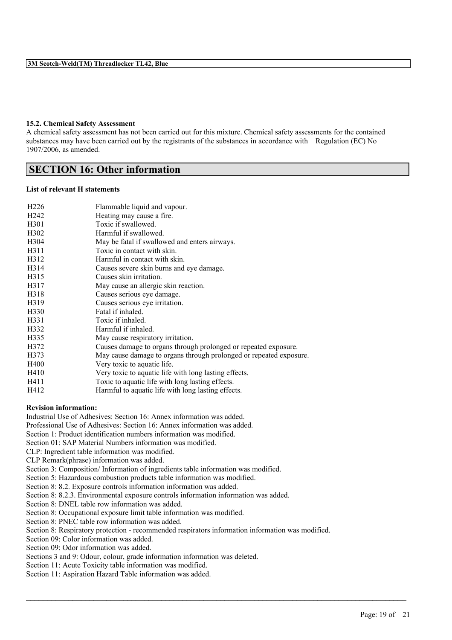#### **15.2. Chemical Safety Assessment**

A chemical safety assessment has not been carried out for this mixture. Chemical safety assessments for the contained substances may have been carried out by the registrants of the substances in accordance with Regulation (EC) No 1907/2006, as amended.

## **SECTION 16: Other information**

#### **List of relevant H statements**

| H <sub>226</sub>  | Flammable liquid and vapour.                                       |
|-------------------|--------------------------------------------------------------------|
| H <sub>242</sub>  | Heating may cause a fire.                                          |
| H <sub>301</sub>  | Toxic if swallowed.                                                |
| H <sub>3</sub> 02 | Harmful if swallowed.                                              |
| H <sub>304</sub>  | May be fatal if swallowed and enters airways.                      |
| H311              | Toxic in contact with skin.                                        |
| H312              | Harmful in contact with skin.                                      |
| H <sub>3</sub> 14 | Causes severe skin burns and eye damage.                           |
| H315              | Causes skin irritation.                                            |
| H317              | May cause an allergic skin reaction.                               |
| H318              | Causes serious eye damage.                                         |
| H319              | Causes serious eye irritation.                                     |
| H330              | Fatal if inhaled.                                                  |
| H331              | Toxic if inhaled.                                                  |
| H332              | Harmful if inhaled.                                                |
| H335              | May cause respiratory irritation.                                  |
| H372              | Causes damage to organs through prolonged or repeated exposure.    |
| H373              | May cause damage to organs through prolonged or repeated exposure. |
| H400              | Very toxic to aquatic life.                                        |
| H410              | Very toxic to aquatic life with long lasting effects.              |
| H411              | Toxic to aquatic life with long lasting effects.                   |
| H412              | Harmful to aquatic life with long lasting effects.                 |

#### **Revision information:**

Industrial Use of Adhesives: Section 16: Annex information was added.

Professional Use of Adhesives: Section 16: Annex information was added.

Section 1: Product identification numbers information was modified.

Section 01: SAP Material Numbers information was modified.

CLP: Ingredient table information was modified.

CLP Remark(phrase) information was added.

Section 3: Composition/ Information of ingredients table information was modified.

Section 5: Hazardous combustion products table information was modified.

Section 8: 8.2. Exposure controls information information was added.

Section 8: 8.2.3. Environmental exposure controls information information was added.

Section 8: DNEL table row information was added.

Section 8: Occupational exposure limit table information was modified.

Section 8: PNEC table row information was added.

Section 8: Respiratory protection - recommended respirators information information was modified.

 $\mathcal{L}_\mathcal{L} = \mathcal{L}_\mathcal{L} = \mathcal{L}_\mathcal{L} = \mathcal{L}_\mathcal{L} = \mathcal{L}_\mathcal{L} = \mathcal{L}_\mathcal{L} = \mathcal{L}_\mathcal{L} = \mathcal{L}_\mathcal{L} = \mathcal{L}_\mathcal{L} = \mathcal{L}_\mathcal{L} = \mathcal{L}_\mathcal{L} = \mathcal{L}_\mathcal{L} = \mathcal{L}_\mathcal{L} = \mathcal{L}_\mathcal{L} = \mathcal{L}_\mathcal{L} = \mathcal{L}_\mathcal{L} = \mathcal{L}_\mathcal{L}$ 

Section 09: Color information was added.

Section 09: Odor information was added.

Sections 3 and 9: Odour, colour, grade information information was deleted.

Section 11: Acute Toxicity table information was modified.

Section 11: Aspiration Hazard Table information was added.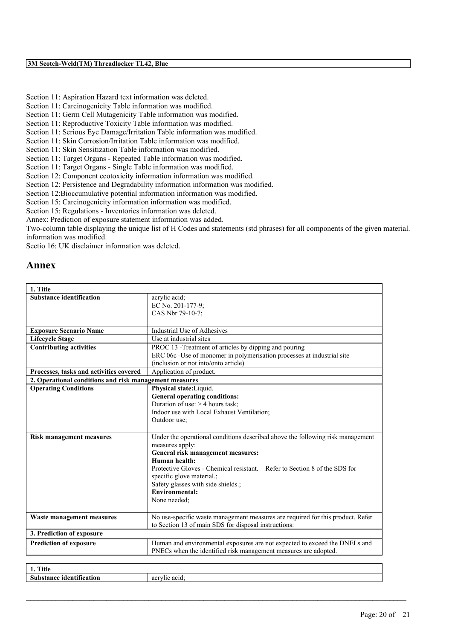- Section 11: Aspiration Hazard text information was deleted.
- Section 11: Carcinogenicity Table information was modified.
- Section 11: Germ Cell Mutagenicity Table information was modified.
- Section 11: Reproductive Toxicity Table information was modified.
- Section 11: Serious Eye Damage/Irritation Table information was modified.
- Section 11: Skin Corrosion/Irritation Table information was modified.
- Section 11: Skin Sensitization Table information was modified.
- Section 11: Target Organs Repeated Table information was modified.
- Section 11: Target Organs Single Table information was modified.
- Section 12: Component ecotoxicity information information was modified.
- Section 12: Persistence and Degradability information information was modified.
- Section 12:Bioccumulative potential information information was modified.
- Section 15: Carcinogenicity information information was modified.
- Section 15: Regulations Inventories information was deleted.
- Annex: Prediction of exposure statement information was added.

Two-column table displaying the unique list of H Codes and statements (std phrases) for all components of the given material. information was modified.

Sectio 16: UK disclaimer information was deleted.

# **Annex**

| 1. Title                                               |                                                                                |
|--------------------------------------------------------|--------------------------------------------------------------------------------|
| <b>Substance identification</b>                        | acrylic acid;<br>EC No. 201-177-9;                                             |
|                                                        | CAS Nbr 79-10-7;                                                               |
|                                                        |                                                                                |
| <b>Exposure Scenario Name</b>                          | <b>Industrial Use of Adhesives</b>                                             |
| <b>Lifecycle Stage</b>                                 | Use at industrial sites                                                        |
| <b>Contributing activities</b>                         | PROC 13 -Treatment of articles by dipping and pouring                          |
|                                                        | ERC 06c -Use of monomer in polymerisation processes at industrial site         |
|                                                        | (inclusion or not into/onto article)                                           |
| Processes, tasks and activities covered                | Application of product.                                                        |
| 2. Operational conditions and risk management measures |                                                                                |
| <b>Operating Conditions</b>                            | Physical state: Liquid.                                                        |
|                                                        | <b>General operating conditions:</b>                                           |
|                                                        | Duration of use: $> 4$ hours task;                                             |
|                                                        | Indoor use with Local Exhaust Ventilation;                                     |
|                                                        | Outdoor use;                                                                   |
| <b>Risk management measures</b>                        | Under the operational conditions described above the following risk management |
|                                                        | measures apply:                                                                |
|                                                        | General risk management measures:                                              |
|                                                        | Human health:                                                                  |
|                                                        | Protective Gloves - Chemical resistant. Refer to Section 8 of the SDS for      |
|                                                        | specific glove material.;                                                      |
|                                                        | Safety glasses with side shields.;                                             |
|                                                        | <b>Environmental:</b>                                                          |
|                                                        | None needed:                                                                   |
| Waste management measures                              | No use-specific waste management measures are required for this product. Refer |
|                                                        | to Section 13 of main SDS for disposal instructions:                           |
| 3. Prediction of exposure                              |                                                                                |
| <b>Prediction of exposure</b>                          | Human and environmental exposures are not expected to exceed the DNELs and     |
|                                                        | PNECs when the identified risk management measures are adopted.                |
|                                                        |                                                                                |
| $1.7141$ .                                             |                                                                                |

| <b>COLLANS</b><br>™itla.<br>1 IUN<br>. .                       |                             |
|----------------------------------------------------------------|-----------------------------|
| $\cdot$ .<br>$\mathbf{C}$<br>.tance<br>tion<br>0.33<br>Ю<br>งเ | ---<br>0.21<br>40 H.C<br>п. |
|                                                                |                             |